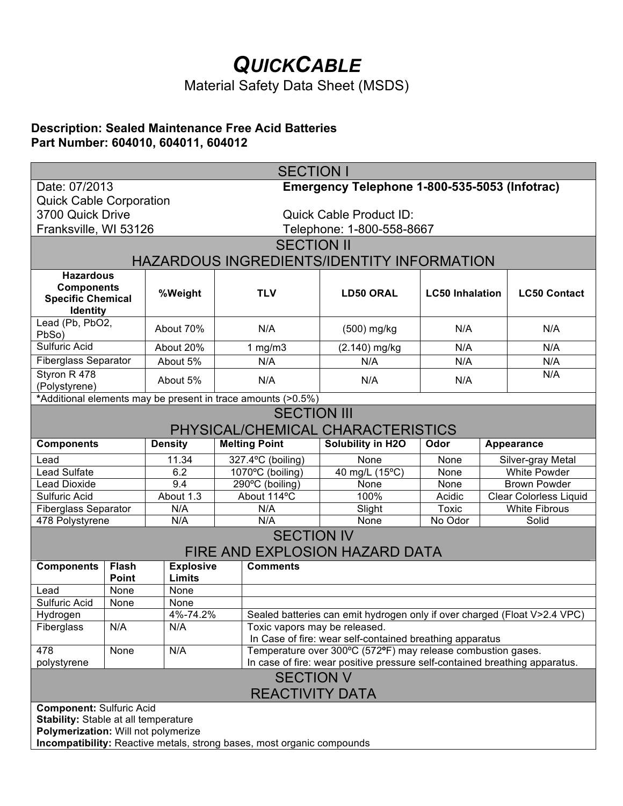# *QUICKCABLE*

Material Safety Data Sheet (MSDS)

#### **Description: Sealed Maintenance Free Acid Batteries Part Number: 604010, 604011, 604012**

| <b>SECTION I</b>                                                       |      |                                                          |                                                                                                                                             |                                                                           |                        |                               |                     |  |
|------------------------------------------------------------------------|------|----------------------------------------------------------|---------------------------------------------------------------------------------------------------------------------------------------------|---------------------------------------------------------------------------|------------------------|-------------------------------|---------------------|--|
| Emergency Telephone 1-800-535-5053 (Infotrac)<br>Date: 07/2013         |      |                                                          |                                                                                                                                             |                                                                           |                        |                               |                     |  |
| <b>Quick Cable Corporation</b>                                         |      |                                                          |                                                                                                                                             |                                                                           |                        |                               |                     |  |
| 3700 Quick Drive<br>Quick Cable Product ID:                            |      |                                                          |                                                                                                                                             |                                                                           |                        |                               |                     |  |
| Franksville, WI 53126                                                  |      |                                                          |                                                                                                                                             | Telephone: 1-800-558-8667                                                 |                        |                               |                     |  |
| <b>SECTION II</b>                                                      |      |                                                          |                                                                                                                                             |                                                                           |                        |                               |                     |  |
| HAZARDOUS INGREDIENTS/IDENTITY INFORMATION                             |      |                                                          |                                                                                                                                             |                                                                           |                        |                               |                     |  |
| <b>Hazardous</b>                                                       |      |                                                          |                                                                                                                                             |                                                                           |                        |                               |                     |  |
| <b>Components</b><br><b>Specific Chemical</b><br><b>Identity</b>       |      | %Weight                                                  | <b>TLV</b>                                                                                                                                  | <b>LD50 ORAL</b>                                                          | <b>LC50 Inhalation</b> |                               | <b>LC50 Contact</b> |  |
| Lead (Pb, PbO2,<br>PbSo)                                               |      | About 70%                                                | N/A                                                                                                                                         | (500) mg/kg                                                               | N/A                    |                               | N/A                 |  |
| <b>Sulfuric Acid</b>                                                   |      | About 20%                                                | 1 $mg/m3$                                                                                                                                   | (2.140) mg/kg                                                             | N/A                    |                               | N/A                 |  |
| <b>Fiberglass Separator</b>                                            |      | About 5%                                                 | N/A                                                                                                                                         | N/A                                                                       | N/A                    |                               | N/A                 |  |
| Styron R 478<br>(Polystyrene)                                          |      | About 5%                                                 | N/A                                                                                                                                         | N/A                                                                       | N/A                    |                               | N/A                 |  |
| *Additional elements may be present in trace amounts (>0.5%)           |      |                                                          |                                                                                                                                             |                                                                           |                        |                               |                     |  |
| <b>SECTION III</b>                                                     |      |                                                          |                                                                                                                                             |                                                                           |                        |                               |                     |  |
| PHYSICAL/CHEMICAL CHARACTERISTICS                                      |      |                                                          |                                                                                                                                             |                                                                           |                        |                               |                     |  |
| <b>Components</b>                                                      |      | <b>Density</b>                                           | <b>Melting Point</b>                                                                                                                        | <b>Solubility in H2O</b>                                                  | Odor                   | Appearance                    |                     |  |
| Lead                                                                   |      | 11.34                                                    | 327.4°C (boiling)                                                                                                                           | None                                                                      | None                   | Silver-gray Metal             |                     |  |
| <b>Lead Sulfate</b>                                                    |      | 6.2                                                      | 1070°C (boiling)                                                                                                                            | 40 mg/L (15°C)                                                            | None                   | <b>White Powder</b>           |                     |  |
| <b>Lead Dioxide</b>                                                    |      | 9.4                                                      | 290°C (boiling)                                                                                                                             | None                                                                      | None                   | <b>Brown Powder</b>           |                     |  |
| Sulfuric Acid                                                          |      | About 1.3                                                | About 114°C                                                                                                                                 | 100%                                                                      | Acidic                 | Clear Colorless Liquid        |                     |  |
| <b>Fiberglass Separator</b><br>478 Polystyrene                         |      | N/A<br>N/A                                               | N/A<br>N/A                                                                                                                                  | Slight<br>None                                                            | Toxic<br>No Odor       | <b>White Fibrous</b><br>Solid |                     |  |
|                                                                        |      |                                                          |                                                                                                                                             |                                                                           |                        |                               |                     |  |
| <b>SECTION IV</b><br>FIRE AND EXPLOSION HAZARD DATA                    |      |                                                          |                                                                                                                                             |                                                                           |                        |                               |                     |  |
| <b>Components</b><br><b>Flash</b><br><b>Point</b>                      |      | <b>Explosive</b><br><b>Comments</b><br>Limits            |                                                                                                                                             |                                                                           |                        |                               |                     |  |
| Lead                                                                   | None | None                                                     |                                                                                                                                             |                                                                           |                        |                               |                     |  |
| Sulfuric Acid                                                          | None | None                                                     |                                                                                                                                             |                                                                           |                        |                               |                     |  |
| Hydrogen                                                               |      | 4%-74.2%                                                 |                                                                                                                                             | Sealed batteries can emit hydrogen only if over charged (Float V>2.4 VPC) |                        |                               |                     |  |
| Fiberglass                                                             | N/A  | N/A<br>Toxic vapors may be released.                     |                                                                                                                                             |                                                                           |                        |                               |                     |  |
|                                                                        |      | In Case of fire: wear self-contained breathing apparatus |                                                                                                                                             |                                                                           |                        |                               |                     |  |
| 478                                                                    | None | N/A                                                      | Temperature over 300°C (572°F) may release combustion gases.<br>In case of fire: wear positive pressure self-contained breathing apparatus. |                                                                           |                        |                               |                     |  |
| polystyrene<br><b>SECTION V</b>                                        |      |                                                          |                                                                                                                                             |                                                                           |                        |                               |                     |  |
| <b>REACTIVITY DATA</b>                                                 |      |                                                          |                                                                                                                                             |                                                                           |                        |                               |                     |  |
| <b>Component: Sulfuric Acid</b>                                        |      |                                                          |                                                                                                                                             |                                                                           |                        |                               |                     |  |
| <b>Stability: Stable at all temperature</b>                            |      |                                                          |                                                                                                                                             |                                                                           |                        |                               |                     |  |
| Polymerization: Will not polymerize                                    |      |                                                          |                                                                                                                                             |                                                                           |                        |                               |                     |  |
| Incompatibility: Reactive metals, strong bases, most organic compounds |      |                                                          |                                                                                                                                             |                                                                           |                        |                               |                     |  |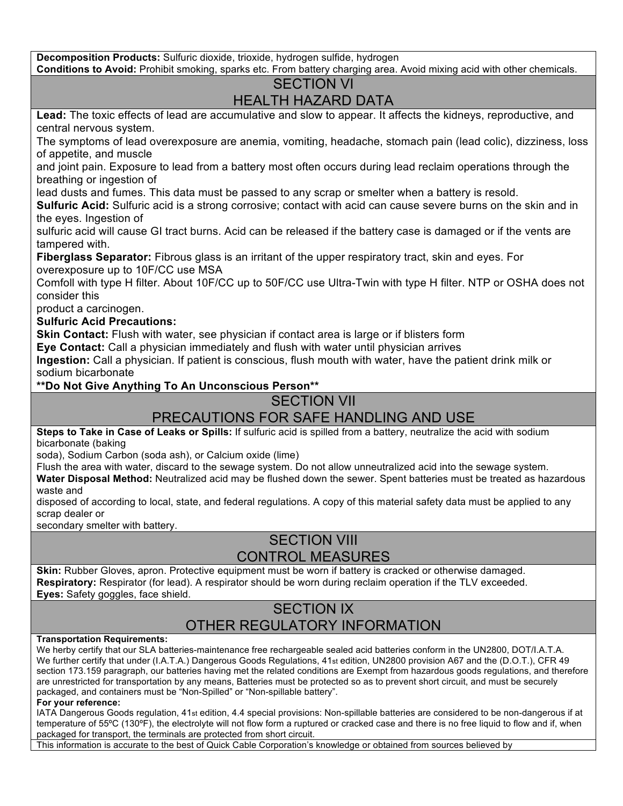**Decomposition Products:** Sulfuric dioxide, trioxide, hydrogen sulfide, hydrogen  **Conditions to Avoid:** Prohibit smoking, sparks etc. From battery charging area. Avoid mixing acid with other chemicals.

#### SECTION VI HEALTH HAZARD DATA

 **Lead:** The toxic effects of lead are accumulative and slow to appear. It affects the kidneys, reproductive, and central nervous system.

 The symptoms of lead overexposure are anemia, vomiting, headache, stomach pain (lead colic), dizziness, loss of appetite, and muscle

 and joint pain. Exposure to lead from a battery most often occurs during lead reclaim operations through the breathing or ingestion of

lead dusts and fumes. This data must be passed to any scrap or smelter when a battery is resold.

 **Sulfuric Acid:** Sulfuric acid is a strong corrosive; contact with acid can cause severe burns on the skin and in the eyes. Ingestion of

 sulfuric acid will cause GI tract burns. Acid can be released if the battery case is damaged or if the vents are tampered with.

 **Fiberglass Separator:** Fibrous glass is an irritant of the upper respiratory tract, skin and eyes. For overexposure up to 10F/CC use MSA

 Comfoll with type H filter. About 10F/CC up to 50F/CC use Ultra-Twin with type H filter. NTP or OSHA does not consider this

product a carcinogen.

 **Sulfuric Acid Precautions:** 

**Skin Contact:** Flush with water, see physician if contact area is large or if blisters form

 **Eye Contact:** Call a physician immediately and flush with water until physician arrives

 **Ingestion:** Call a physician. If patient is conscious, flush mouth with water, have the patient drink milk or sodium bicarbonate

 **\*\*Do Not Give Anything To An Unconscious Person\*\*** 

#### SECTION VII

### PRECAUTIONS FOR SAFE HANDLING AND USE

**Steps to Take in Case of Leaks or Spills:** If sulfuric acid is spilled from a battery, neutralize the acid with sodium bicarbonate (baking

soda), Sodium Carbon (soda ash), or Calcium oxide (lime)

Flush the area with water, discard to the sewage system. Do not allow unneutralized acid into the sewage system.

 **Water Disposal Method:** Neutralized acid may be flushed down the sewer. Spent batteries must be treated as hazardous waste and

 disposed of according to local, state, and federal regulations. A copy of this material safety data must be applied to any scrap dealer or

secondary smelter with battery.

## **SECTION VIII** CONTROL MEASURES

 **Skin:** Rubber Gloves, apron. Protective equipment must be worn if battery is cracked or otherwise damaged. **Respiratory:** Respirator (for lead). A respirator should be worn during reclaim operation if the TLV exceeded. **Eyes:** Safety goggles, face shield.

## SECTION IX OTHER REGULATORY INFORMATION

#### **Transportation Requirements:**

 We herby certify that our SLA batteries-maintenance free rechargeable sealed acid batteries conform in the UN2800, DOT/I.A.T.A. We further certify that under (I.A.T.A.) Dangerous Goods Regulations, 41st edition, UN2800 provision A67 and the (D.O.T.), CFR 49 section 173.159 paragraph, our batteries having met the related conditions are Exempt from hazardous goods regulations, and therefore are unrestricted for transportation by any means, Batteries must be protected so as to prevent short circuit, and must be securely packaged, and containers must be "Non-Spilled" or "Non-spillable battery".

#### **For your reference:**

 IATA Dangerous Goods regulation, 41st edition, 4.4 special provisions: Non-spillable batteries are considered to be non-dangerous if at packaged for transport, the terminals are protected from short circuit. temperature of 55ºC (130ºF), the electrolyte will not flow form a ruptured or cracked case and there is no free liquid to flow and if, when

This information is accurate to the best of Quick Cable Corporation's knowledge or obtained from sources believed by